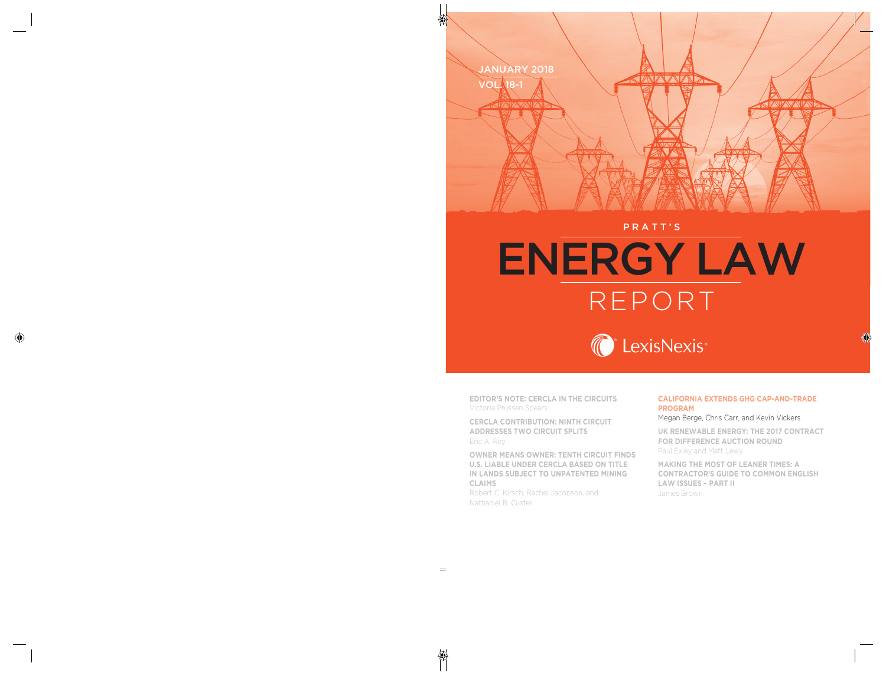

#### PRATT'S

# ENERGY LAW REPORT



**EDITOR'S NOTE: CERCLA IN THE CIRCUITS** Victoria Prussen Spears

**CERCLA CONTRIBUTION: NINTH CIRCUIT ADDRESSES TWO CIRCUIT SPLITS** Eric A. Rey

**OWNER MEANS OWNER: TENTH CIRCUIT FINDS U.S. LIABLE UNDER CERCLA BASED ON TITLE IN LANDS SUBJECT TO UNPATENTED MINING CLAIMS** 

Robert C. Kirsch, Rachel Jacobson, and Nathaniel B. Custer

#### **CALIFORNIA EXTENDS GHG CAP-AND-TRADE PROGRAM**

#### Megan Berge, Chris Carr, and Kevin Vickers

**UK RENEWABLE ENERGY: THE 2017 CONTRACT FOR DIFFERENCE AUCTION ROUND**  Paul Exley and Matt Lewy

**MAKING THE MOST OF LEANER TIMES: A CONTRACTOR'S GUIDE TO COMMON ENGLISH LAW ISSUES – PART II** James Brown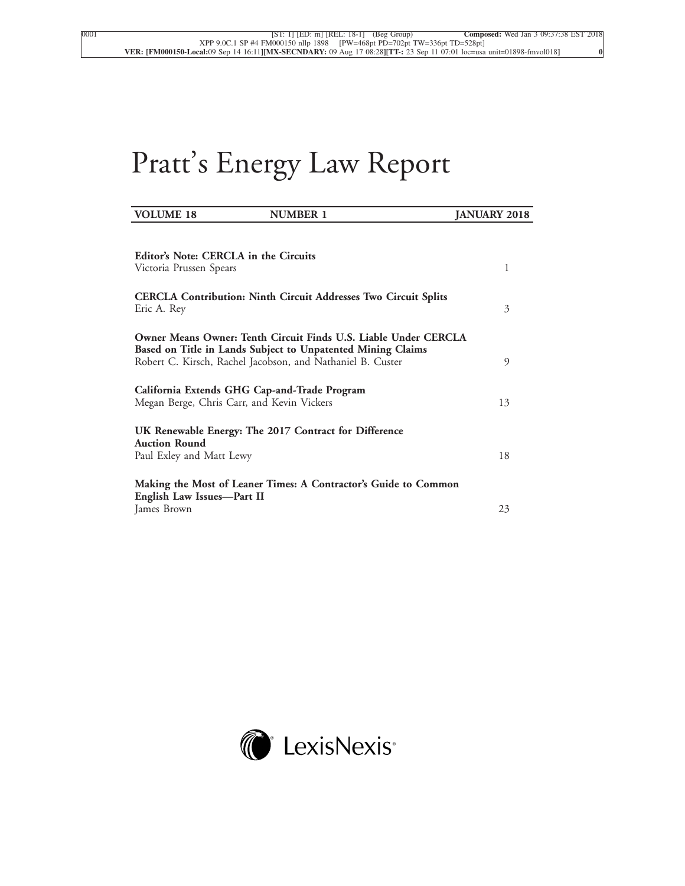# Pratt's Energy Law Report

| <b>VOLUME 18</b><br><b>NUMBER 1</b>                                                                                                                                                          | <b>JANUARY 2018</b> |
|----------------------------------------------------------------------------------------------------------------------------------------------------------------------------------------------|---------------------|
|                                                                                                                                                                                              |                     |
| Editor's Note: CERCLA in the Circuits<br>Victoria Prussen Spears                                                                                                                             | 1                   |
| <b>CERCLA Contribution: Ninth Circuit Addresses Two Circuit Splits</b><br>Eric A. Rey                                                                                                        | 3                   |
| Owner Means Owner: Tenth Circuit Finds U.S. Liable Under CERCLA<br>Based on Title in Lands Subject to Unpatented Mining Claims<br>Robert C. Kirsch, Rachel Jacobson, and Nathaniel B. Custer | 9                   |
| California Extends GHG Cap-and-Trade Program<br>Megan Berge, Chris Carr, and Kevin Vickers                                                                                                   | 13                  |
| UK Renewable Energy: The 2017 Contract for Difference<br><b>Auction Round</b><br>Paul Exley and Matt Lewy                                                                                    | 18                  |
| Making the Most of Leaner Times: A Contractor's Guide to Common<br>English Law Issues-Part II<br>James Brown                                                                                 | 23                  |

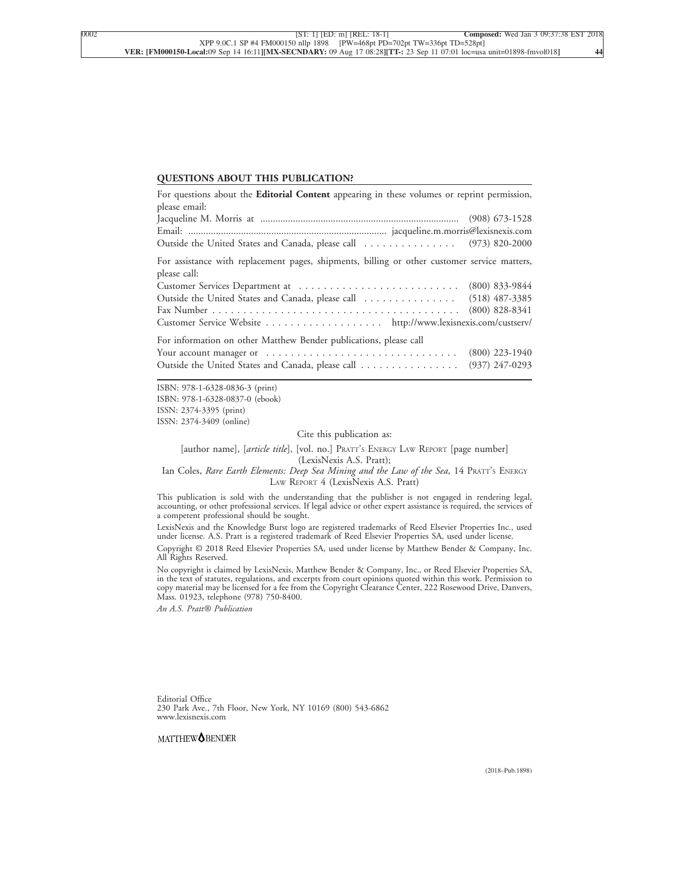#### **QUESTIONS ABOUT THIS PUBLICATION?**

| For questions about the Editorial Content appearing in these volumes or reprint permission,                  |                  |  |
|--------------------------------------------------------------------------------------------------------------|------------------|--|
| please email:                                                                                                |                  |  |
|                                                                                                              |                  |  |
|                                                                                                              |                  |  |
| Outside the United States and Canada, please call  (973) 820-2000                                            |                  |  |
| For assistance with replacement pages, shipments, billing or other customer service matters,<br>please call: |                  |  |
|                                                                                                              |                  |  |
| Outside the United States and Canada, please call  (518) 487-3385                                            |                  |  |
|                                                                                                              |                  |  |
| Customer Service Website http://www.lexisnexis.com/custserv/                                                 |                  |  |
| For information on other Matthew Bender publications, please call                                            |                  |  |
| Your account manager or $\dots \dots \dots \dots \dots \dots \dots \dots \dots \dots \dots$                  | $(800)$ 223-1940 |  |
| Outside the United States and Canada, please call                                                            | $(937)$ 247-0293 |  |

ISBN: 978-1-6328-0836-3 (print) ISBN: 978-1-6328-0837-0 (ebook) ISSN: 2374-3395 (print) ISSN: 2374-3409 (online)

Cite this publication as:

[author name], [*article title*], [vol. no.] PRATT'<sup>S</sup> ENERGY LAW REPORT [page number] (LexisNexis A.S. Pratt);

Ian Coles, *Rare Earth Elements: Deep Sea Mining and the Law of the Sea*, 14 PRATT'<sup>S</sup> ENERGY LAW REPORT 4 (LexisNexis A.S. Pratt)

This publication is sold with the understanding that the publisher is not engaged in rendering legal, accounting, or other professional services. If legal advice or other expert assistance is required, the services of a competent professional should be sought.

LexisNexis and the Knowledge Burst logo are registered trademarks of Reed Elsevier Properties Inc., used under license. A.S. Pratt is a registered trademark of Reed Elsevier Properties SA, used under license.

Copyright © 2018 Reed Elsevier Properties SA, used under license by Matthew Bender & Company, Inc. All Rights Reserved.

No copyright is claimed by LexisNexis, Matthew Bender & Company, Inc., or Reed Elsevier Properties SA, in the text of statutes, regulations, and excerpts from court opinions quoted within this work. Permission to copy material may be licensed for a fee from the Copyright Clearance Center, 222 Rosewood Drive, Danvers, Mass. 01923, telephone (978) 750-8400.

*An A.S. Pratt® Publication*

Editorial Office 230 Park Ave., 7th Floor, New York, NY 10169 (800) 543-6862 www.lexisnexis.com

MATTHEW<sup>O</sup>BENDER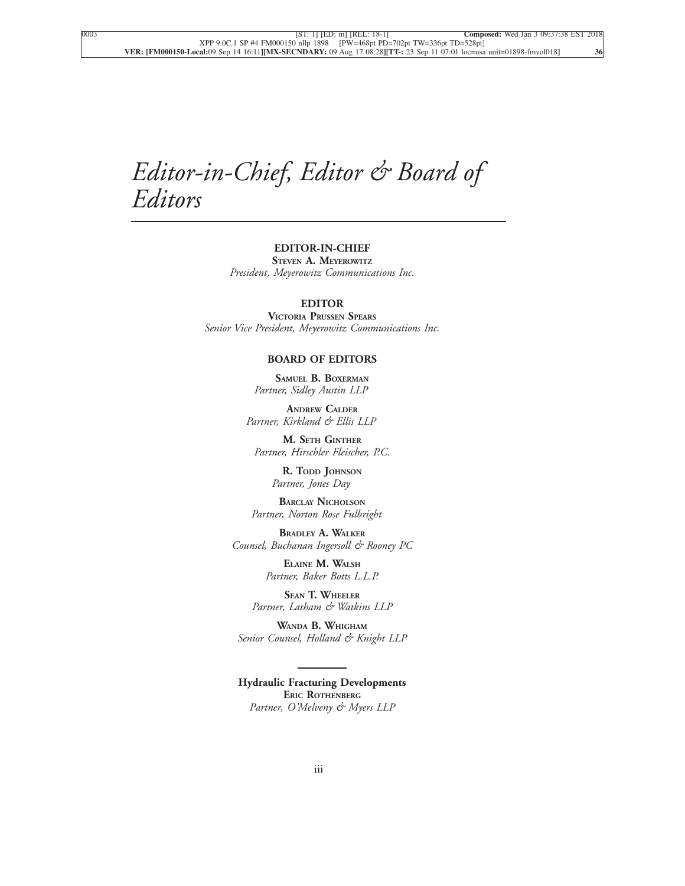## *Editor-in-Chief, Editor & Board of Editors*

#### **EDITOR-IN-CHIEF STEVEN A. MEYEROWITZ**

*President, Meyerowitz Communications Inc.*

#### **EDITOR**

**VICTORIA PRUSSEN SPEARS** *Senior Vice President, Meyerowitz Communications Inc.*

#### **BOARD OF EDITORS**

**SAMUEL B. BOXERMAN** *Partner, Sidley Austin LLP*

**ANDREW CALDER** *Partner, Kirkland & Ellis LLP*

**M. SETH GINTHER** *Partner, Hirschler Fleischer, P.C.*

> **R. TODD JOHNSON** *Partner, Jones Day*

**BARCLAY NICHOLSON** *Partner, Norton Rose Fulbright*

**BRADLEY A. WALKER** *Counsel, Buchanan Ingersoll & Rooney PC*

> **ELAINE M. WALSH** *Partner, Baker Botts L.L.P.*

**SEAN T. WHEELER** *Partner, Latham & Watkins LLP*

**WANDA B. WHIGHAM** *Senior Counsel, Holland & Knight LLP*

**Hydraulic Fracturing Developments ERIC ROTHENBERG** *Partner, O'Melveny & Myers LLP*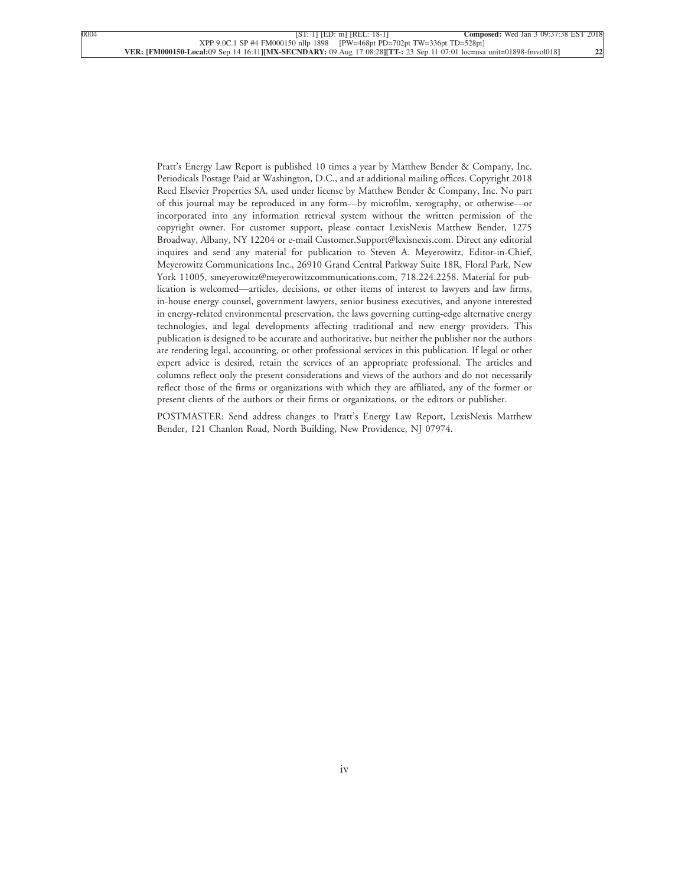Pratt's Energy Law Report is published 10 times a year by Matthew Bender & Company, Inc. Periodicals Postage Paid at Washington, D.C., and at additional mailing offices. Copyright 2018 Reed Elsevier Properties SA, used under license by Matthew Bender & Company, Inc. No part of this journal may be reproduced in any form—by microfilm, xerography, or otherwise—or incorporated into any information retrieval system without the written permission of the copyright owner. For customer support, please contact LexisNexis Matthew Bender, 1275 Broadway, Albany, NY 12204 or e-mail Customer.Support@lexisnexis.com. Direct any editorial inquires and send any material for publication to Steven A. Meyerowitz, Editor-in-Chief, Meyerowitz Communications Inc., 26910 Grand Central Parkway Suite 18R, Floral Park, New York 11005, smeyerowitz@meyerowitzcommunications.com, 718.224.2258. Material for publication is welcomed—articles, decisions, or other items of interest to lawyers and law firms, in-house energy counsel, government lawyers, senior business executives, and anyone interested in energy-related environmental preservation, the laws governing cutting-edge alternative energy technologies, and legal developments affecting traditional and new energy providers. This publication is designed to be accurate and authoritative, but neither the publisher nor the authors are rendering legal, accounting, or other professional services in this publication. If legal or other expert advice is desired, retain the services of an appropriate professional. The articles and columns reflect only the present considerations and views of the authors and do not necessarily reflect those of the firms or organizations with which they are affiliated, any of the former or present clients of the authors or their firms or organizations, or the editors or publisher.

POSTMASTER: Send address changes to Pratt's Energy Law Report, LexisNexis Matthew Bender, 121 Chanlon Road, North Building, New Providence, NJ 07974.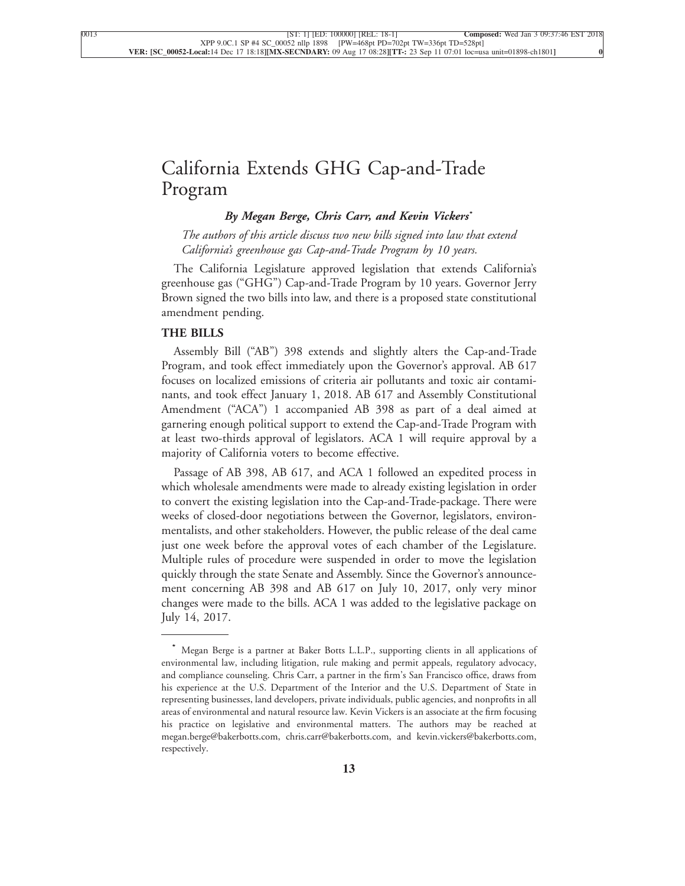### [California Extends GHG Cap-and-Trade](xpath-> core:title,  tr:secmain/core:title,  desig_title,  style_01) [Program](xpath-> core:title,  tr:secmain/core:title,  desig_title,  style_01)

#### *[By Megan Berge, Chris Carr, and Kevin Vickers](xpath-> core:byline,  core:byline,  byline,  style_01)***\***

*[The authors of this article discuss two new bills signed into law that extend](xpath-> core:blockquote-para,  Default,  blockquote,  style_02) [California's greenhouse gas Cap-and-Trade Program by 10 years.](xpath-> core:blockquote-para,  Default,  blockquote,  style_02)*

[The California Legislature approved legislation that extends California's](xpath-> core:para,  Default,  para-list,  style_01) [greenhouse gas \("GHG"\) Cap-and-Trade Program by 10 years. Governor Jerry](xpath-> core:para,  Default,  para-list,  style_01) [Brown signed the two bills into law, and there is a proposed state constitutional](xpath-> core:para,  Default,  para-list,  style_01) [amendment pending.](xpath-> core:para,  Default,  para-list,  style_01)

#### **[THE BILLS](xpath-> core:generic-hd,  Default,  core_generic_hd,  style_01)**

[Assembly Bill \("AB"\) 398 extends and slightly alters the Cap-and-Trade](xpath-> core:para,  Default,  para-list,  style_01) [Program, and took effect immediately upon the Governor's approval. AB 617](xpath-> core:para,  Default,  para-list,  style_01) [focuses on localized emissions of criteria air pollutants and toxic air contami](xpath-> core:para,  Default,  para-list,  style_01)[nants, and took effect January 1, 2018. AB 617 and Assembly Constitutional](xpath-> core:para,  Default,  para-list,  style_01) [Amendment \("ACA"\) 1 accompanied AB 398 as part of a deal aimed at](xpath-> core:para,  Default,  para-list,  style_01) [garnering enough political support to extend the Cap-and-Trade Program with](xpath-> core:para,  Default,  para-list,  style_01) [at least two-thirds approval of legislators. ACA 1 will require approval by a](xpath-> core:para,  Default,  para-list,  style_01) [majority of California voters to become effective.](xpath-> core:para,  Default,  para-list,  style_01)

[Passage of AB 398, AB 617, and ACA 1 followed an expedited process in](xpath-> core:para,  Default,  para-list,  style_01) [which wholesale amendments were made to already existing legislation in order](xpath-> core:para,  Default,  para-list,  style_01) [to convert the existing legislation into the Cap-and-Trade-package. There were](xpath-> core:para,  Default,  para-list,  style_01) [weeks of closed-door negotiations between the Governor, legislators, environ](xpath-> core:para,  Default,  para-list,  style_01)[mentalists, and other stakeholders. However, the public release of the deal came](xpath-> core:para,  Default,  para-list,  style_01) [just one week before the approval votes of each chamber of the Legislature.](xpath-> core:para,  Default,  para-list,  style_01) [Multiple rules of procedure were suspended in order to move the legislation](xpath-> core:para,  Default,  para-list,  style_01) [quickly through the state Senate and Assembly. Since the Governor's announce](xpath-> core:para,  Default,  para-list,  style_01)[ment concerning AB 398 and AB 617 on July 10, 2017, only very minor](xpath-> core:para,  Default,  para-list,  style_01) [changes were made to the bills. ACA 1 was added to the legislative package on](xpath-> core:para,  Default,  para-list,  style_01) [July 14, 2017.](xpath-> core:para,  Default,  para-list,  style_01)

**<sup>\*</sup>** [Megan Berge is a partner at Baker Botts L.L.P., supporting clients in all applications of](xpath-> pnfo:bio-para,  fn:bio-footnote/pnfo:bio-para,  byline,  ) [environmental law, including litigation, rule making and permit appeals, regulatory advocacy,](xpath-> pnfo:bio-para,  fn:bio-footnote/pnfo:bio-para,  byline,  ) [and compliance counseling. Chris Carr, a partner in the firm's San Francisco office, draws from](xpath-> pnfo:bio-para,  fn:bio-footnote/pnfo:bio-para,  byline,  ) [his experience at the U.S. Department of the Interior and the U.S. Department of State in](xpath-> pnfo:bio-para,  fn:bio-footnote/pnfo:bio-para,  byline,  ) [representing businesses, land developers, private individuals, public agencies, and nonprofits in all](xpath-> pnfo:bio-para,  fn:bio-footnote/pnfo:bio-para,  byline,  ) [areas of environmental and natural resource law. Kevin Vickers is an associate at the firm focusing](xpath-> pnfo:bio-para,  fn:bio-footnote/pnfo:bio-para,  byline,  ) [his practice on legislative and environmental matters. The authors may be reached at](xpath-> pnfo:bio-para,  fn:bio-footnote/pnfo:bio-para,  byline,  ) [megan.berge@bakerbotts.com, chris.carr@bakerbotts.com, and kevin.vickers@bakerbotts.com,](xpath-> pnfo:bio-para,  fn:bio-footnote/pnfo:bio-para,  byline,  ) [respectively.](xpath-> pnfo:bio-para,  fn:bio-footnote/pnfo:bio-para,  byline,  )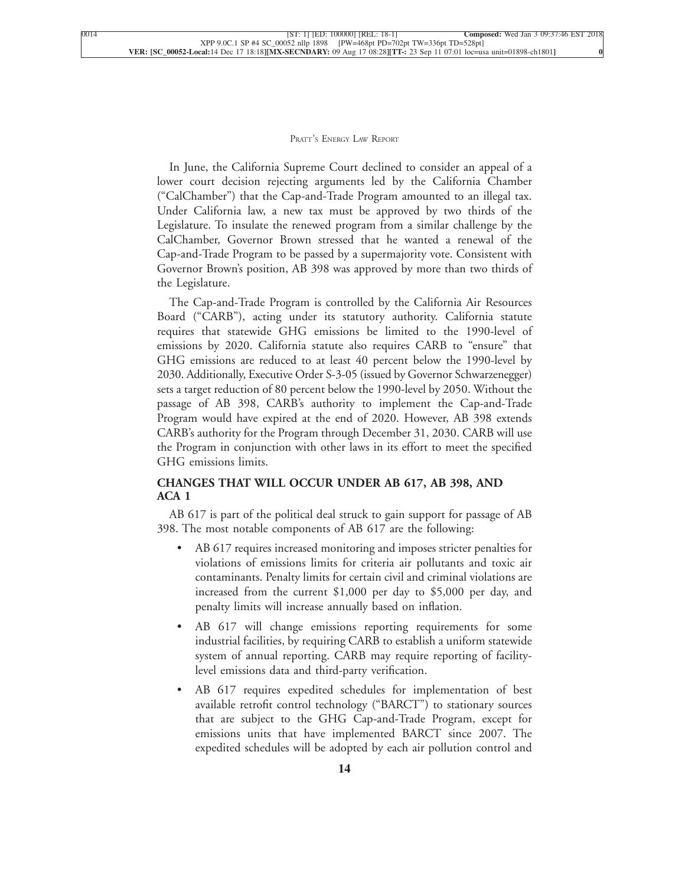[In June, the California Supreme Court declined to consider an appeal of a](xpath-> core:para,  Default,  para-list,  style_01) [lower court decision rejecting arguments led by the California Chamber](xpath-> core:para,  Default,  para-list,  style_01) [\("CalChamber"\) that the Cap-and-Trade Program amounted to an illegal tax.](xpath-> core:para,  Default,  para-list,  style_01) [Under California law, a new tax must be approved by two thirds of the](xpath-> core:para,  Default,  para-list,  style_01) [Legislature. To insulate the renewed program from a similar challenge by the](xpath-> core:para,  Default,  para-list,  style_01) [CalChamber, Governor Brown stressed that he wanted a renewal of the](xpath-> core:para,  Default,  para-list,  style_01) [Cap-and-Trade Program to be passed by a supermajority vote. Consistent with](xpath-> core:para,  Default,  para-list,  style_01) [Governor Brown's position, AB 398 was approved by more than two thirds of](xpath-> core:para,  Default,  para-list,  style_01) [the Legislature.](xpath-> core:para,  Default,  para-list,  style_01)

[The Cap-and-Trade Program is controlled by the California Air Resources](xpath-> core:para,  Default,  para-list,  style_01) [Board \("CARB"\), acting under its statutory authority. California statute](xpath-> core:para,  Default,  para-list,  style_01) [requires that statewide GHG emissions be limited to the 1990-level of](xpath-> core:para,  Default,  para-list,  style_01) [emissions by 2020. California statute also requires CARB to "ensure" that](xpath-> core:para,  Default,  para-list,  style_01) [GHG emissions are reduced to at least 40 percent below the 1990-level by](xpath-> core:para,  Default,  para-list,  style_01) [2030. Additionally, Executive Order S-3-05 \(issued by Governor Schwarzenegger\)](xpath-> core:para,  Default,  para-list,  style_01) [sets a target reduction of 80 percent below the 1990-level by 2050. Without the](xpath-> core:para,  Default,  para-list,  style_01) [passage of AB 398, CARB's authority to implement the Cap-and-Trade](xpath-> core:para,  Default,  para-list,  style_01) [Program would have expired at the end of 2020. However, AB 398 extends](xpath-> core:para,  Default,  para-list,  style_01) [CARB's authority for the Program through December 31, 2030. CARB will use](xpath-> core:para,  Default,  para-list,  style_01) [the Program in conjunction with other laws in its effort to meet the specified](xpath-> core:para,  Default,  para-list,  style_01) [GHG emissions limits.](xpath-> core:para,  Default,  para-list,  style_01)

#### **[CHANGES THAT WILL OCCUR UNDER AB 617, AB 398, AND](xpath-> core:generic-hd,  Default,  core_generic_hd,  style_01) [ACA 1](xpath-> core:generic-hd,  Default,  core_generic_hd,  style_01)**

[AB 617 is part of the political deal struck to gain support for passage of AB](xpath-> core:para,  Default,  para-list,  style_01) [398. The most notable components of AB 617 are the following:](xpath-> core:para,  Default,  para-list,  style_01)

- AB 617 requires increased monitoring and imposes stricter penalties for [violations of emissions limits for criteria air pollutants and toxic air](xpath-> core:para,  core:listitem/core:para,  para-list,  style_01) [contaminants. Penalty limits for certain civil and criminal violations are](xpath-> core:para,  core:listitem/core:para,  para-list,  style_01) [increased from the current \\$1,000 per day to \\$5,000 per day, and](xpath-> core:para,  core:listitem/core:para,  para-list,  style_01) [penalty limits will increase annually based on inflation.](xpath-> core:para,  core:listitem/core:para,  para-list,  style_01)
- AB 617 will change emissions reporting requirements for some [industrial facilities, by requiring CARB to establish a uniform statewide](xpath-> core:para,  core:listitem/core:para,  para-list,  style_01) [system of annual reporting. CARB may require reporting of facility](xpath-> core:para,  core:listitem/core:para,  para-list,  style_01)[level emissions data and third-party verification.](xpath-> core:para,  core:listitem/core:para,  para-list,  style_01)
- AB 617 requires expedited schedules for implementation of best [available retrofit control technology \("BARCT"\) to stationary sources](xpath-> core:para,  core:listitem/core:para,  para-list,  style_01) [that are subject to the GHG Cap-and-Trade Program, except for](xpath-> core:para,  core:listitem/core:para,  para-list,  style_01) [emissions units that have implemented BARCT since 2007. The](xpath-> core:para,  core:listitem/core:para,  para-list,  style_01) [expedited schedules will be adopted by each air pollution control and](xpath-> core:para,  core:listitem/core:para,  para-list,  style_01)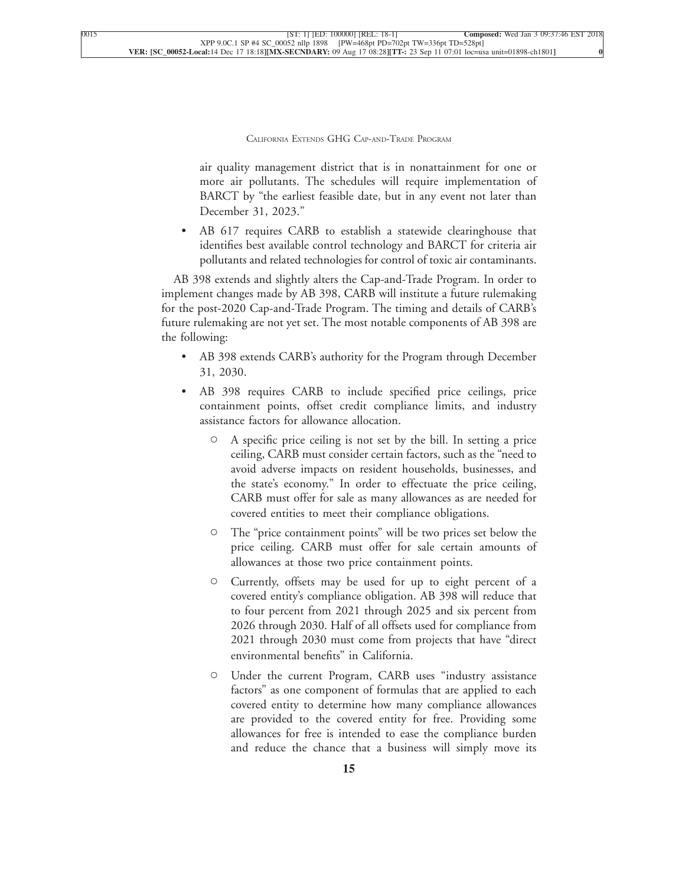air quality management district that is in nonattainment for one or more air pollutants. The schedules will require implementation of BARCT by "the earliest feasible date, but in any event not later than [December 31, 2023."](xpath-> core:para,  core:listitem/core:para,  para-list,  style_01)

[•](xpath-> core:enum,  core:listitem/core:enum,  para-list,  style_01) [AB 617 requires CARB to establish a statewide clearinghouse that](xpath-> core:para,  core:listitem/core:para,  para-list,  style_01) [identifies best available control technology and BARCT for criteria air](xpath-> core:para,  core:listitem/core:para,  para-list,  style_01) [pollutants and related technologies for control of toxic air contaminants.](xpath-> core:para,  core:listitem/core:para,  para-list,  style_01)

[AB 398 extends and slightly alters the Cap-and-Trade Program. In order to](xpath-> core:para,  Default,  para-list,  style_01) [implement changes made by AB 398, CARB will institute a future rulemaking](xpath-> core:para,  Default,  para-list,  style_01) [for the post-2020 Cap-and-Trade Program. The timing and details of CARB's](xpath-> core:para,  Default,  para-list,  style_01) [future rulemaking are not yet set. The most notable components of AB 398 are](xpath-> core:para,  Default,  para-list,  style_01) [the following:](xpath-> core:para,  Default,  para-list,  style_01)

- AB 398 extends CARB's authority for the Program through December [31, 2030.](xpath-> core:para,  core:listitem/core:para,  para-list,  style_01)
- [•](xpath-> core:enum,  core:listitem/core:enum,  para-list,  style_01) [AB 398 requires CARB to include specified price ceilings, price](xpath-> core:para,  core:listitem/core:para,  para-list,  style_01) [containment points, offset credit compliance limits, and industry](xpath-> core:para,  core:listitem/core:para,  para-list,  style_01) [assistance factors for allowance allocation.](xpath-> core:para,  core:listitem/core:para,  para-list,  style_01)
	- [C](xpath-> core:enum,  core:listitem/core:enum,  para-list,  style_01) [A specific price ceiling is not set by the bill. In setting a price](xpath-> core:para,  core:listitem/core:para,  para-list,  style_01) [ceiling, CARB must consider certain factors, such as the "need to](xpath-> core:para,  core:listitem/core:para,  para-list,  style_01) [avoid adverse impacts on resident households, businesses, and](xpath-> core:para,  core:listitem/core:para,  para-list,  style_01) [the state's economy." In order to effectuate the price ceiling,](xpath-> core:para,  core:listitem/core:para,  para-list,  style_01) [CARB must offer for sale as many allowances as are needed for](xpath-> core:para,  core:listitem/core:para,  para-list,  style_01) [covered entities to meet their compliance obligations.](xpath-> core:para,  core:listitem/core:para,  para-list,  style_01)
	- [C](xpath-> core:enum,  core:listitem/core:enum,  para-list,  style_01) [The "price containment points" will be two prices set below the](xpath-> core:para,  core:listitem/core:para,  para-list,  style_01) [price ceiling. CARB must offer for sale certain amounts of](xpath-> core:para,  core:listitem/core:para,  para-list,  style_01) [allowances at those two price containment points.](xpath-> core:para,  core:listitem/core:para,  para-list,  style_01)
	- [C](xpath-> core:enum,  core:listitem/core:enum,  para-list,  style_01) [Currently, offsets may be used for up to eight percent of a](xpath-> core:para,  core:listitem/core:para,  para-list,  style_01) [covered entity's compliance obligation. AB 398 will reduce that](xpath-> core:para,  core:listitem/core:para,  para-list,  style_01) [to four percent from 2021 through 2025 and six percent from](xpath-> core:para,  core:listitem/core:para,  para-list,  style_01) [2026 through 2030. Half of all offsets used for compliance from](xpath-> core:para,  core:listitem/core:para,  para-list,  style_01) [2021 through 2030 must come from projects that have "direct](xpath-> core:para,  core:listitem/core:para,  para-list,  style_01) [environmental benefits" in California.](xpath-> core:para,  core:listitem/core:para,  para-list,  style_01)
	- [C](xpath-> core:enum,  core:listitem/core:enum,  para-list,  style_01) [Under the current Program, CARB uses "industry assistance](xpath-> core:para,  core:listitem/core:para,  para-list,  style_01) [factors" as one component of formulas that are applied to each](xpath-> core:para,  core:listitem/core:para,  para-list,  style_01) [covered entity to determine how many compliance allowances](xpath-> core:para,  core:listitem/core:para,  para-list,  style_01) [are provided to the covered entity for free. Providing some](xpath-> core:para,  core:listitem/core:para,  para-list,  style_01) [allowances for free is intended to ease the compliance burden](xpath-> core:para,  core:listitem/core:para,  para-list,  style_01) [and reduce the chance that a business will simply move its](xpath-> core:para,  core:listitem/core:para,  para-list,  style_01)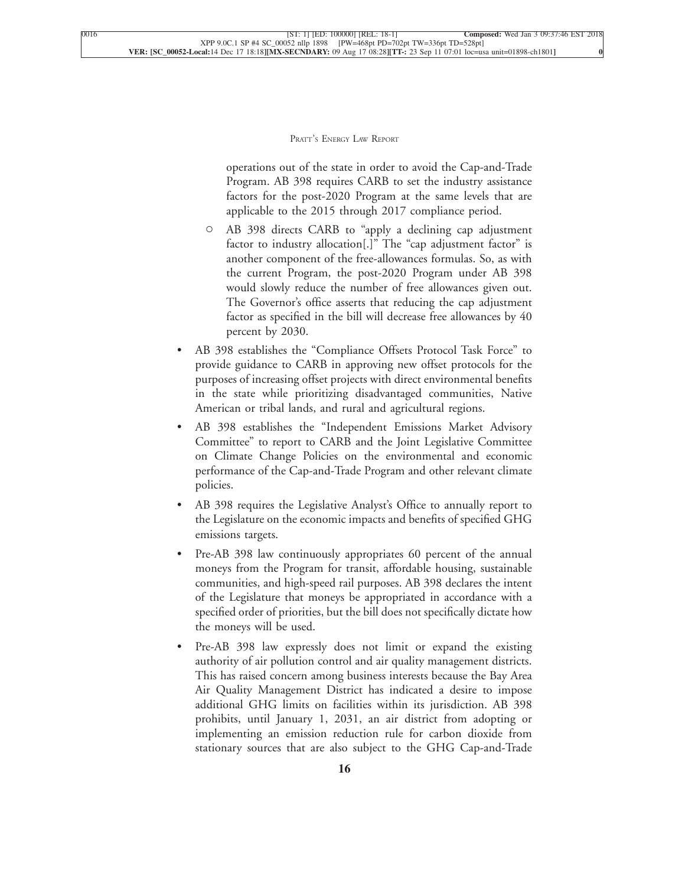operations out of the state in order to avoid the Cap-and-Trade Program. AB 398 requires CARB to set the industry assistance factors for the post-2020 Program at the same levels that are [applicable to the 2015 through 2017 compliance period.](xpath-> core:para,  core:listitem/core:para,  para-list,  style_01)

- [C](xpath-> core:enum,  core:listitem/core:enum,  para-list,  style_01) [AB 398 directs CARB to "apply a declining cap adjustment](xpath-> core:para,  core:listitem/core:para,  para-list,  style_01) [factor to industry allocation\[.\]" The "cap adjustment factor" is](xpath-> core:para,  core:listitem/core:para,  para-list,  style_01) [another component of the free-allowances formulas. So, as with](xpath-> core:para,  core:listitem/core:para,  para-list,  style_01) [the current Program, the post-2020 Program under AB 398](xpath-> core:para,  core:listitem/core:para,  para-list,  style_01) [would slowly reduce the number of free allowances given out.](xpath-> core:para,  core:listitem/core:para,  para-list,  style_01) [The Governor's office asserts that reducing the cap adjustment](xpath-> core:para,  core:listitem/core:para,  para-list,  style_01) [factor as specified in the bill will decrease free allowances by 40](xpath-> core:para,  core:listitem/core:para,  para-list,  style_01) [percent by 2030.](xpath-> core:para,  core:listitem/core:para,  para-list,  style_01)
- [•](xpath-> core:enum,  core:listitem/core:enum,  para-list,  style_01) [AB 398 establishes the "Compliance Offsets Protocol Task Force" to](xpath-> core:para,  core:listitem/core:para,  para-list,  style_01) [provide guidance to CARB in approving new offset protocols for the](xpath-> core:para,  core:listitem/core:para,  para-list,  style_01) [purposes of increasing offset projects with direct environmental benefits](xpath-> core:para,  core:listitem/core:para,  para-list,  style_01) [in the state while prioritizing disadvantaged communities, Native](xpath-> core:para,  core:listitem/core:para,  para-list,  style_01) [American or tribal lands, and rural and agricultural regions.](xpath-> core:para,  core:listitem/core:para,  para-list,  style_01)
- [•](xpath-> core:enum,  core:listitem/core:enum,  para-list,  style_01) [AB 398 establishes the "Independent Emissions Market Advisory](xpath-> core:para,  core:listitem/core:para,  para-list,  style_01) [Committee" to report to CARB and the Joint Legislative Committee](xpath-> core:para,  core:listitem/core:para,  para-list,  style_01) [on Climate Change Policies on the environmental and economic](xpath-> core:para,  core:listitem/core:para,  para-list,  style_01) [performance of the Cap-and-Trade Program and other relevant climate](xpath-> core:para,  core:listitem/core:para,  para-list,  style_01) [policies.](xpath-> core:para,  core:listitem/core:para,  para-list,  style_01)
- AB 398 requires the Legislative Analyst's Office to annually report to [the Legislature on the economic impacts and benefits of specified GHG](xpath-> core:para,  core:listitem/core:para,  para-list,  style_01) [emissions targets.](xpath-> core:para,  core:listitem/core:para,  para-list,  style_01)
- Pre-AB 398 law continuously appropriates 60 percent of the annual [moneys from the Program for transit, affordable housing, sustainable](xpath-> core:para,  core:listitem/core:para,  para-list,  style_01) [communities, and high-speed rail purposes. AB 398 declares the intent](xpath-> core:para,  core:listitem/core:para,  para-list,  style_01) [of the Legislature that moneys be appropriated in accordance with a](xpath-> core:para,  core:listitem/core:para,  para-list,  style_01) [specified order of priorities, but the bill does not specifically dictate how](xpath-> core:para,  core:listitem/core:para,  para-list,  style_01) [the moneys will be used.](xpath-> core:para,  core:listitem/core:para,  para-list,  style_01)
- Pre-AB 398 law expressly does not limit or expand the existing [authority of air pollution control and air quality management districts.](xpath-> core:para,  core:listitem/core:para,  para-list,  style_01) [This has raised concern among business interests because the Bay Area](xpath-> core:para,  core:listitem/core:para,  para-list,  style_01) [Air Quality Management District has indicated a desire to impose](xpath-> core:para,  core:listitem/core:para,  para-list,  style_01) [additional GHG limits on facilities within its jurisdiction. AB 398](xpath-> core:para,  core:listitem/core:para,  para-list,  style_01) [prohibits, until January 1, 2031, an air district from adopting or](xpath-> core:para,  core:listitem/core:para,  para-list,  style_01) [implementing an emission reduction rule for carbon dioxide from](xpath-> core:para,  core:listitem/core:para,  para-list,  style_01) [stationary sources that are also subject to the GHG Cap-and-Trade](xpath-> core:para,  core:listitem/core:para,  para-list,  style_01)